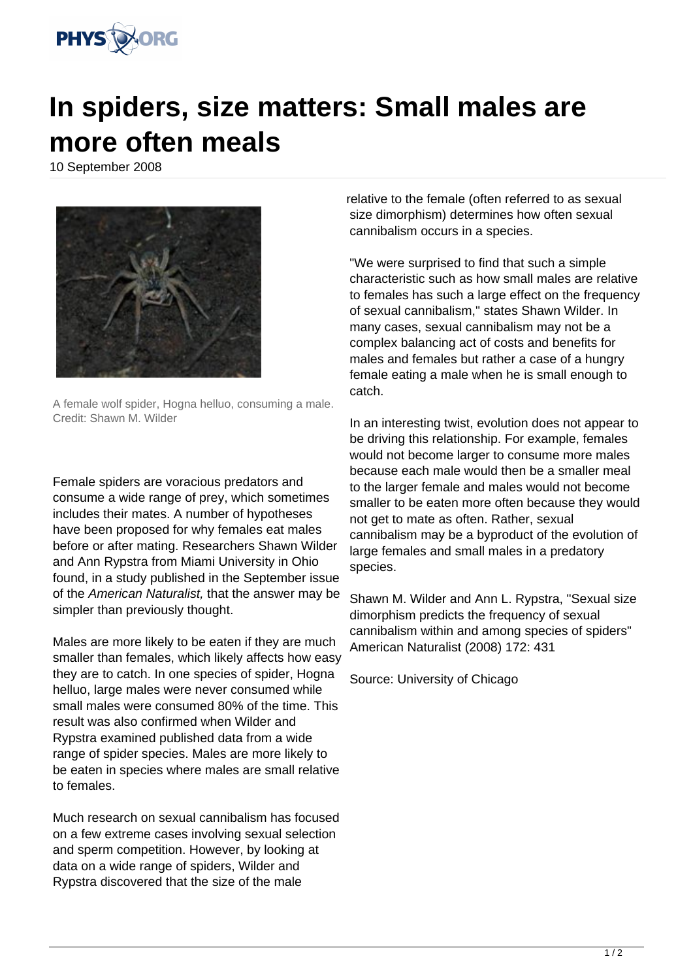

## **In spiders, size matters: Small males are more often meals**

10 September 2008



A female wolf spider, Hogna helluo, consuming a male. Credit: Shawn M. Wilder

Female spiders are voracious predators and consume a wide range of prey, which sometimes includes their mates. A number of hypotheses have been proposed for why females eat males before or after mating. Researchers Shawn Wilder and Ann Rypstra from Miami University in Ohio found, in a study published in the September issue of the American Naturalist, that the answer may be simpler than previously thought.

Males are more likely to be eaten if they are much smaller than females, which likely affects how easy they are to catch. In one species of spider, Hogna helluo, large males were never consumed while small males were consumed 80% of the time. This result was also confirmed when Wilder and Rypstra examined published data from a wide range of spider species. Males are more likely to be eaten in species where males are small relative to females.

Much research on sexual cannibalism has focused on a few extreme cases involving sexual selection and sperm competition. However, by looking at data on a wide range of spiders, Wilder and Rypstra discovered that the size of the male

relative to the female (often referred to as sexual size dimorphism) determines how often sexual cannibalism occurs in a species.

"We were surprised to find that such a simple characteristic such as how small males are relative to females has such a large effect on the frequency of sexual cannibalism," states Shawn Wilder. In many cases, sexual cannibalism may not be a complex balancing act of costs and benefits for males and females but rather a case of a hungry female eating a male when he is small enough to catch.

In an interesting twist, evolution does not appear to be driving this relationship. For example, females would not become larger to consume more males because each male would then be a smaller meal to the larger female and males would not become smaller to be eaten more often because they would not get to mate as often. Rather, sexual cannibalism may be a byproduct of the evolution of large females and small males in a predatory species.

Shawn M. Wilder and Ann L. Rypstra, "Sexual size dimorphism predicts the frequency of sexual cannibalism within and among species of spiders" American Naturalist (2008) 172: 431

Source: University of Chicago